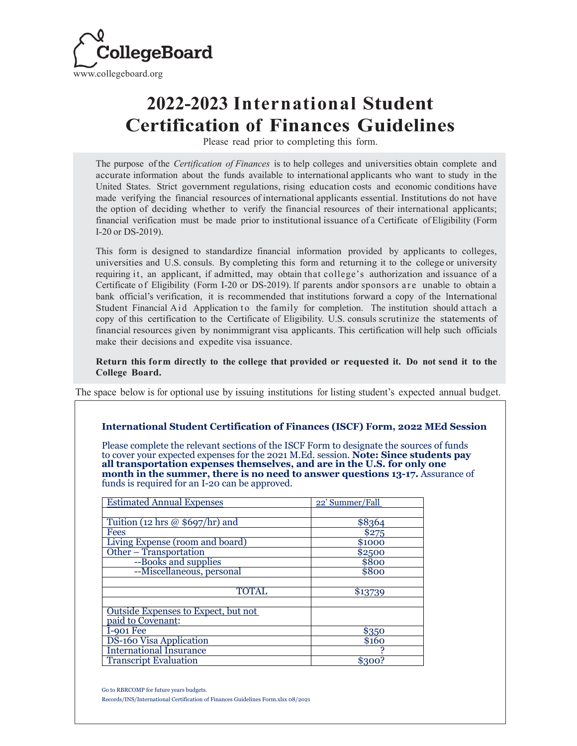

## **2022-2023 International Student Certification of Finances Guidelines**

Please read prior to completing this form.

The purpose of the *Certification of Finances* is to help colleges and universities obtain complete and accurate information about the funds available to international applicants who want to study in the United States. Strict government regulations, rising education costs and economic conditions have made verifying the financial resources of international applicants essential. Institutions do not have the option of deciding whether to verify the financial resources of their international applicants; financial verification must be made prior to institutional issuance of a Certificate of Eligibility (Form I-20 or DS-2019).

This form is designed to standardize financial information provided by applicants to colleges, universities and U.S. consuls. By completing this form and returning it to the college or university requiring it, an applicant, if admitted, may obtain that college's authorization and issuance of a Certificate of Eligibility (Form I-20 or DS-2019). If parents and/or sponsors are unable to obtain a bank official's verification, it is recommended that institutions forward a copy of the International Student Financial Aid Application to the family for completion. The institution should attach a copy of this certification to the Certificate of Eligibility. U.S. consuls scrutinize the statements of financial resources given by nonimmigrant visa applicants. This certification will help such officials make their decisions and expedite visa issuance.

**Return this form directly to the college that provided or requested it. Do not send it to the College Board.**

The space below is for optional use by issuing institutions for listing student's expected annual budget.

## **International Student Certification of Finances (ISCF) Form, 2022 MEd Session**

Please complete the relevant sections of the ISCF Form to designate the sources of funds to cover your expected expenses for the 2021 M.Ed. session. **Note: Since students pay all transportation expenses themselves, and are in the U.S. for only one month in the summer, there is no need to answer questions 13-17.** Assurance of funds is required for an I-20 can be approved.

| <b>Estimated Annual Expenses</b>    | 22' Summer/Fall |
|-------------------------------------|-----------------|
|                                     |                 |
| Tuition (12 hrs @ $$697/hr$ ) and   | \$8364          |
| <b>Fees</b>                         | $\sqrt{$275}$   |
| Living Expense (room and board)     | \$1000          |
| Other - Transportation              | \$2500          |
| --Books and supplies                | \$800           |
| --Miscellaneous, personal           | \$800           |
|                                     |                 |
| <b>TOTAL</b>                        | \$13739         |
|                                     |                 |
| Outside Expenses to Expect, but not |                 |
| paid to Covenant:                   |                 |
| I-901 Fee                           | \$350           |
| <b>DS-160 Visa Application</b>      | \$160           |
| <b>International Insurance</b>      |                 |
| <b>Transcript Evaluation</b>        | \$300?          |

Go to RBRCOMP for future years budgets.

Records/INS/International Certification of Finances Guidelines Form.xlsx 08/2021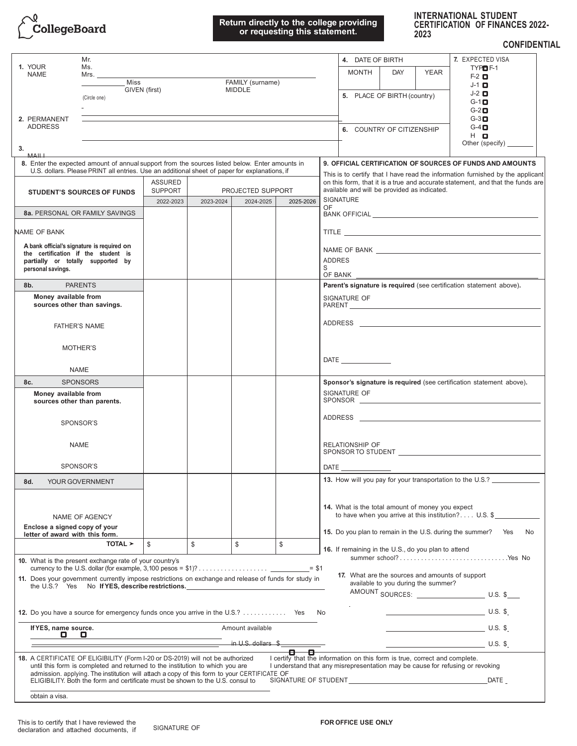

## **Return directly to the college providing or requesting this statement.**

| <b>INTERNATIONAL STUDENT</b> |                                        |
|------------------------------|----------------------------------------|
|                              | <b>CERTIFICATION OF FINANCES 2022-</b> |
| 2023                         |                                        |

**CONFIDENTIAL**

| 1. YOUR<br><b>NAME</b>                                                                               | Mr.                                                                                         |                                                              |                |                            |                                                                                  | 7. EXPECTED VISA<br>4. DATE OF BIRTH                                                                                                                                                                                                |  |  |
|------------------------------------------------------------------------------------------------------|---------------------------------------------------------------------------------------------|--------------------------------------------------------------|----------------|----------------------------|----------------------------------------------------------------------------------|-------------------------------------------------------------------------------------------------------------------------------------------------------------------------------------------------------------------------------------|--|--|
|                                                                                                      | Ms.                                                                                         |                                                              |                |                            | TYPE <sub>F-1</sub><br><b>MONTH</b><br><b>DAY</b><br><b>YEAR</b><br>$F-2$ $\Box$ |                                                                                                                                                                                                                                     |  |  |
|                                                                                                      | Miss                                                                                        | GIVEN (first)                                                |                | FAMILY (surname)<br>MIDDLE |                                                                                  | $J-1$ $\Box$                                                                                                                                                                                                                        |  |  |
|                                                                                                      | (Circle one)                                                                                |                                                              |                |                            |                                                                                  | $J-2$ $\Box$<br>5. PLACE OF BIRTH (country)<br>$G-1$ $\Box$                                                                                                                                                                         |  |  |
|                                                                                                      |                                                                                             |                                                              |                |                            |                                                                                  | $G-2$ $\Box$                                                                                                                                                                                                                        |  |  |
| 2. PERMANENT                                                                                         |                                                                                             |                                                              |                |                            |                                                                                  | $G-3$                                                                                                                                                                                                                               |  |  |
| <b>ADDRESS</b>                                                                                       |                                                                                             |                                                              |                |                            | $G-4$ $\blacksquare$<br>6. COUNTRY OF CITIZENSHIP<br>$H$ $\Box$                  |                                                                                                                                                                                                                                     |  |  |
| 3.                                                                                                   |                                                                                             |                                                              |                |                            |                                                                                  | Other (specify) _____                                                                                                                                                                                                               |  |  |
| 8. Enter the expected amount of annual support from the sources listed below. Enter amounts in       |                                                                                             |                                                              |                |                            |                                                                                  | 9. OFFICIAL CERTIFICATION OF SOURCES OF FUNDS AND AMOUNTS                                                                                                                                                                           |  |  |
| U.S. dollars. Please PRINT all entries. Use an additional sheet of paper for explanations, if        |                                                                                             |                                                              |                |                            | This is to certify that I have read the information furnished by the applicant   |                                                                                                                                                                                                                                     |  |  |
| <b>STUDENT'S SOURCES OF FUNDS</b>                                                                    |                                                                                             | <b>ASSURED</b><br><b>SUPPORT</b><br><b>PROJECTED SUPPORT</b> |                |                            |                                                                                  | on this form, that it is a true and accurate statement, and that the funds are<br>available and will be provided as indicated.                                                                                                      |  |  |
|                                                                                                      |                                                                                             | 2022-2023                                                    | 2023-2024      | 2024-2025                  | 2025-2026                                                                        | <b>SIGNATURE</b>                                                                                                                                                                                                                    |  |  |
| 8a. PERSONAL OR FAMILY SAVINGS                                                                       |                                                                                             |                                                              |                |                            |                                                                                  | OF.                                                                                                                                                                                                                                 |  |  |
| NAME OF BANK                                                                                         |                                                                                             |                                                              |                |                            |                                                                                  | <b>TITLE</b> TITLE THE REPORT OF THE REPORT OF THE REPORT OF THE REPORT OF THE REPORT OF THE REPORT OF THE REPORT OF THE REPORT OF THE REPORT OF THE REPORT OF THE REPORT OF THE REPORT OF THE REPORT OF THE REPORT OF THE REPORT O |  |  |
| A bank official's signature is required on                                                           |                                                                                             |                                                              |                |                            |                                                                                  |                                                                                                                                                                                                                                     |  |  |
| the certification if the student is                                                                  |                                                                                             |                                                              |                |                            |                                                                                  |                                                                                                                                                                                                                                     |  |  |
| partially or totally supported by<br>personal savings.                                               |                                                                                             |                                                              |                |                            |                                                                                  | <b>ADDRES</b><br>S                                                                                                                                                                                                                  |  |  |
|                                                                                                      |                                                                                             |                                                              |                |                            |                                                                                  | OF BANK                                                                                                                                                                                                                             |  |  |
| <b>PARENTS</b><br>8b.                                                                                |                                                                                             |                                                              |                |                            |                                                                                  | Parent's signature is required (see certification statement above).                                                                                                                                                                 |  |  |
| Money available from<br>sources other than savings.                                                  |                                                                                             |                                                              |                |                            |                                                                                  | SIGNATURE OF                                                                                                                                                                                                                        |  |  |
|                                                                                                      |                                                                                             |                                                              |                |                            |                                                                                  |                                                                                                                                                                                                                                     |  |  |
| <b>FATHER'S NAME</b>                                                                                 |                                                                                             |                                                              |                |                            |                                                                                  |                                                                                                                                                                                                                                     |  |  |
| MOTHER'S                                                                                             |                                                                                             |                                                              |                |                            |                                                                                  |                                                                                                                                                                                                                                     |  |  |
|                                                                                                      |                                                                                             |                                                              |                |                            |                                                                                  |                                                                                                                                                                                                                                     |  |  |
| <b>NAME</b>                                                                                          |                                                                                             |                                                              |                |                            |                                                                                  |                                                                                                                                                                                                                                     |  |  |
| 8c.<br><b>SPONSORS</b>                                                                               |                                                                                             |                                                              |                |                            |                                                                                  | Sponsor's signature is required (see certification statement above).                                                                                                                                                                |  |  |
| Money available from                                                                                 |                                                                                             |                                                              |                |                            |                                                                                  | SIGNATURE OF                                                                                                                                                                                                                        |  |  |
| sources other than parents.                                                                          |                                                                                             |                                                              |                |                            |                                                                                  | SPONSOR                                                                                                                                                                                                                             |  |  |
| SPONSOR'S                                                                                            |                                                                                             |                                                              |                |                            |                                                                                  | ADDRESS ARE AN INTERNATIONAL CONTRACTOR OF THE CONTRACTOR OF THE CONTRACTOR OF THE CONTRACTOR OF THE CONTRACTOR                                                                                                                     |  |  |
|                                                                                                      |                                                                                             |                                                              |                |                            |                                                                                  |                                                                                                                                                                                                                                     |  |  |
| <b>NAME</b>                                                                                          |                                                                                             |                                                              |                |                            |                                                                                  | <b>RELATIONSHIP OF</b>                                                                                                                                                                                                              |  |  |
|                                                                                                      |                                                                                             |                                                              |                |                            |                                                                                  | SPONSOR TO STUDENT  SPONSOR TO STUDENT                                                                                                                                                                                              |  |  |
| SPONSOR'S                                                                                            |                                                                                             |                                                              |                |                            |                                                                                  |                                                                                                                                                                                                                                     |  |  |
| 8d.<br>YOUR GOVERNMENT                                                                               |                                                                                             |                                                              |                |                            |                                                                                  | 13. How will you pay for your transportation to the U.S.?                                                                                                                                                                           |  |  |
|                                                                                                      |                                                                                             |                                                              |                |                            |                                                                                  |                                                                                                                                                                                                                                     |  |  |
|                                                                                                      |                                                                                             |                                                              |                |                            |                                                                                  | 14. What is the total amount of money you expect                                                                                                                                                                                    |  |  |
|                                                                                                      | <b>NAME OF AGENCY</b>                                                                       |                                                              |                |                            |                                                                                  | to have when you arrive at this institution? $U.S.$ \$                                                                                                                                                                              |  |  |
| Enclose a signed copy of your<br>letter of award with this form.                                     |                                                                                             |                                                              |                |                            |                                                                                  | 15. Do you plan to remain in the U.S. during the summer?<br>Yes<br>No.                                                                                                                                                              |  |  |
|                                                                                                      | TOTAL >                                                                                     | \$                                                           | $$\mathbb{S}$$ | $\mathbb{S}$               | \$                                                                               | 16. If remaining in the U.S., do you plan to attend                                                                                                                                                                                 |  |  |
| 10. What is the present exchange rate of your country's                                              |                                                                                             |                                                              |                |                            |                                                                                  | summer school?Yes No                                                                                                                                                                                                                |  |  |
|                                                                                                      |                                                                                             |                                                              |                |                            |                                                                                  | 17. What are the sources and amounts of support                                                                                                                                                                                     |  |  |
| 11. Does your government currently impose restrictions on exchange and release of funds for study in | the U.S.? Yes No If YES, describe restrictions.                                             |                                                              |                |                            |                                                                                  | available to you during the summer?                                                                                                                                                                                                 |  |  |
|                                                                                                      |                                                                                             |                                                              |                |                            |                                                                                  | AMOUNT SOURCES: U.S. \$                                                                                                                                                                                                             |  |  |
| 12. Do you have a source for emergency funds once you arrive in the U.S.? Yes                        |                                                                                             |                                                              |                |                            |                                                                                  | $\overline{\phantom{a}}$ U.S. \$<br>No                                                                                                                                                                                              |  |  |
| If YES, name source.                                                                                 |                                                                                             |                                                              |                | Amount available           |                                                                                  | $\overline{\phantom{a}}$ U.S. \$                                                                                                                                                                                                    |  |  |
| <b>0 0</b>                                                                                           |                                                                                             |                                                              |                |                            |                                                                                  |                                                                                                                                                                                                                                     |  |  |
|                                                                                                      |                                                                                             |                                                              |                | in U.S. dollars \$         | 8-<br>о                                                                          | $\overline{U}$ S. $\overline{S}$                                                                                                                                                                                                    |  |  |
| 18. A CERTIFICATE OF ELIGIBILITY (Form I-20 or DS-2019) will not be authorized                       | until this form is completed and returned to the institution to which you are               |                                                              |                |                            |                                                                                  | I certify that the information on this form is true, correct and complete.<br>I understand that any misrepresentation may be cause for refusing or revoking                                                                         |  |  |
|                                                                                                      | admission. applying. The institution will attach a copy of this form to your CERTIFICATE OF |                                                              |                |                            |                                                                                  |                                                                                                                                                                                                                                     |  |  |
|                                                                                                      | ELIGIBILITY. Both the form and certificate must be shown to the U.S. consul to              |                                                              |                |                            |                                                                                  | <b>DATE</b>                                                                                                                                                                                                                         |  |  |
| obtain a visa.                                                                                       |                                                                                             |                                                              |                |                            |                                                                                  |                                                                                                                                                                                                                                     |  |  |